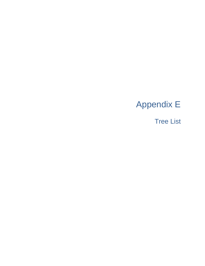# Appendix E

Tree List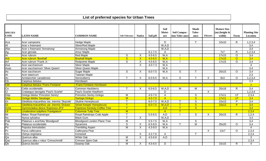### **List of preferred species for Urban Trees**

| <b>SPECIES</b>  |                                               |                                     |                         |                           |             | <b>Soil</b><br>Moist- | Soil Compac-            | <b>Shade</b><br>Toler-  |                | <b>Mature Size</b><br>$(m)$ (height $\&$ |                | <b>Planting Site</b> |
|-----------------|-----------------------------------------------|-------------------------------------|-------------------------|---------------------------|-------------|-----------------------|-------------------------|-------------------------|----------------|------------------------------------------|----------------|----------------------|
| <b>CODE</b>     | <b>LATIN NAME</b>                             | <b>COMMON NAME</b>                  | <b>Salt Tolerance</b>   | <b>Native</b>             | Soil pH     | ure                   | tion Toler-ance         | ance                    | <b>Flowers</b> | width)                                   | Form           | Location             |
| Aca             | Acer campestre                                | <b>Hedge Maple</b>                  |                         |                           |             | D                     |                         |                         |                | 10x10                                    | $\mathsf{R}$   | 1,2,3,4              |
| Af              | Acer x freemanii                              | Silver/Red Maple                    |                         |                           |             | W, A, D               |                         |                         |                |                                          |                | 3,4                  |
| Afar            | Acer x freemanii 'Armstrong'                  | <b>Armstrong Maple</b>              |                         |                           |             | W, A, D               |                         |                         |                |                                          |                | 3,4                  |
| Ag              | Acer ginnala                                  | <b>Amur Maple</b>                   |                         |                           | $6.1 - 7.5$ | A                     |                         |                         |                | 7x7                                      | $\mathsf{R}$   | 1,2,3,4              |
| $\overline{Ar}$ | Acer rubrum                                   | <b>Red Maple</b>                    | $\overline{s}$          | X                         | $4.5 - 6.5$ | W, A                  |                         |                         |                | 17x15                                    | $\circ$        | 3,4                  |
| <b>Arb</b>      | <b>Acer rubrum 'Bowhall'</b>                  | <b>Bowhall Maple</b>                | $\overline{\mathbf{s}}$ | $\mathsf{X}$              | $4.5 - 6.5$ | W.A                   |                         |                         |                | 17x15                                    | $\overline{O}$ | 3,4                  |
| Arf             | Acer rubrum 'Frank Jr.'                       | Redpointe Maple                     | S                       | X                         | 4.5-6.5     | W, A                  |                         |                         |                | 17x15                                    | $\circ$        | 3,4                  |
| Asa             | Acer saccharinum                              | <b>Silver Maple</b>                 |                         | X                         | $4.0 - 7.3$ | W, A                  |                         |                         |                |                                          |                | $\overline{4}$       |
| Asas            | Acer saccharinum 'Silver Queen'               | <b>Silver Queen Maple</b>           |                         |                           |             | W.A                   |                         |                         |                |                                          |                | 3,4                  |
| As              | Acer saccharum                                | Sugar Maple                         | S                       | X                         | $6.0 - 7.5$ | W, A                  | S                       |                         |                | 20x15                                    | $\circ$        | 3,4                  |
| At              | Acer tataricum                                | <b>Tatarian Maple</b>               |                         |                           |             |                       |                         |                         |                |                                          |                | 2,3                  |
| Ac              | Amelanchier canadensis                        | Serviceberry                        |                         | X                         | $6.0 - 6.5$ | W, A                  | S                       |                         | X              | 8x3                                      | $\circ$        | 1,2,3,4              |
| Cp              | Carpinus betulus                              | Hornbeam                            |                         |                           |             |                       |                         |                         |                |                                          |                | 2,3                  |
| <b>Cbf</b>      | Carpinus betulus 'Frans Fontaine'             | <b>Frans Fontaine Hornbeam</b>      |                         |                           |             |                       |                         |                         |                |                                          |                | $\overline{2}$       |
| Co              | Celtis occidentalis                           | <b>Common Hackberry</b>             |                         | X                         | $6.0 - 6.5$ | W, A, D               | $\overline{M}$          | M                       |                | 20x18                                    | $\overline{R}$ | 3,4                  |
| ō               | Crataegus laevigata 'Paul's Scarlet'          | Paul's Scarlet Hawthorn             |                         |                           |             | D                     |                         |                         | $\overline{X}$ |                                          |                | 1,2,3,4              |
| Gbp             | Ginkgo biloba 'Princeton Sentry'              | <b>Princeton Sentry Ginkgo</b>      | M                       |                           | $4.5 - 7.0$ | A                     |                         | $\overline{s}$          |                | 17x11                                    | I, P           | 2,3,4                |
| Gbp             | Ginkgo biloba 'Saratoga'                      | Sartoga Ginkgo                      | M                       |                           | $4.5 - 7.0$ | $\overline{A}$        |                         | $\overline{\mathbf{s}}$ |                | 17x11                                    | I.P            | 3,4                  |
| Gt              | Gleditisia triacanthos var. inermis 'Skycole' | <b>Skyline Honeylocust</b>          |                         |                           | $6.0 - 7.5$ | W, A, D               | $\mathsf{T}$            | $\overline{s}$          |                | 15x13                                    | $\overline{P}$ | 3,4                  |
| Gt              | Gleditisia triacanthos var. inermis 'Draves'  | <b>Street Keeper Honeylocust</b>    | T                       |                           | $6.0 - 7.5$ | W.A.D                 | $\overline{\mathsf{T}}$ | $\overline{\mathbf{s}}$ |                | 15x13                                    | $\overline{P}$ | 3,4                  |
| Gme             | Gymnocladus dioica 'Espresso-JFS'             | <b>Espresso Kentuky Coffee Tree</b> | T                       |                           |             | A, D                  | $\overline{\mathsf{T}}$ | $\overline{\mathbf{s}}$ |                |                                          |                | 3,4                  |
| Ltf             | Lirodendron tulipifera 'Fastigiatum'          | <b>Columnar Tulip Tree</b>          | M                       |                           |             | $\overline{A}$        | $\overline{\mathsf{T}}$ |                         |                |                                          |                | 2,3,4                |
| Mr              | Malus 'Royal Raindrops'                       | Royal Raindrops Crab Apple          |                         |                           | $5.5 - 6.5$ | A, D                  |                         | $\overline{s}$          | Χ              | 20x15                                    | $\overline{R}$ | 1,2,4                |
| <b>Ns</b>       | Nyssa sylvatica                               | <b>Black Gum</b>                    |                         | $\sf X$                   |             | W, A, D               |                         |                         |                |                                          |                | 3,4                  |
| Pab             | Platanus x acerfolia 'Bloodgood'              | <b>Bloodgood London Plane Tree</b>  | M                       |                           | $5.5 - 7.5$ | W, A                  |                         | $\overline{s}$          |                |                                          |                | 3,4                  |
| Pa              | Platanus occidentalis                         | Sycamore                            | $\overline{s}$          | $\sf X$                   | $6.5 - 8.5$ | W, A                  | $\mathsf{T}$            | $\overline{M}$          |                | 35x20                                    | $\circ$        | 3,4                  |
| Po              | Populus tremuloides                           | <b>Trembling Aspen</b>              | M                       | $\overline{X}$            | $4.3 - 9.0$ | W, A                  |                         |                         |                |                                          |                | $\overline{4}$       |
| $\overline{P}$  | Pyrus calleryana                              | Calleryana Pear                     |                         |                           |             |                       |                         |                         | X              | 13x7                                     | $\circ$        | 2,3,4                |
| Ov              | Ostrya virginiana                             | Ironwood                            |                         | $\boldsymbol{\mathsf{X}}$ | $4.2 - 7.6$ | A                     |                         | $\mathsf{T}$            |                |                                          |                | 2,3,4                |
| Qa              | Quercus alba                                  | <b>White Oak</b>                    | M                       | $\overline{X}$            | $4.5 - 6.8$ | $\overline{A, D}$     |                         |                         |                |                                          |                | 3                    |
| Qac             | Quercus alba x robur 'Crimschmidt             | <b>Crimson Spire Oak</b>            | M                       |                           |             |                       |                         |                         |                |                                          |                | 2,3,4                |
| dD              | Querus bicolor                                | Swamp Oak                           | м                       | X                         | $4.5 - 6.5$ | D                     |                         |                         |                | 15x15                                    | $\mathsf{R}$   | 4                    |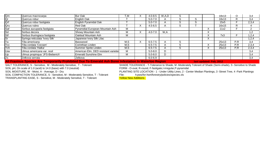| <b>Qm</b>       | Quercus macrocarpa              | <b>Bur Oak</b>                                                                                               | T,M  | $4.0 - 8.5$ | W,A,D |    |   | 18x13 | O                | 3,4   |
|-----------------|---------------------------------|--------------------------------------------------------------------------------------------------------------|------|-------------|-------|----|---|-------|------------------|-------|
| <b>Qr</b>       | Quercus robur                   | English Oak                                                                                                  |      | $5.0 - 7.0$ |       |    |   | 18x13 | D<br>ĸ           | 3,4   |
| <b>Qrf</b>      | Quercus robur fastigiata        | English Pyramidal Oak                                                                                        |      | $5.0 - 7.0$ |       |    | ╮ | 15x5  |                  | 2,3,4 |
| Qru             | Quercus rubra                   | <b>Red Oak</b>                                                                                               |      | $4.5 - 6.5$ |       | r. |   | 16x15 | R.               |       |
| Saf             | Sorbus aucuparia fastigiata     | Pyramidial European Mountain Ash                                                                             | M    |             |       |    |   | 11x2  |                  |       |
| <b>Sd</b>       | Sorbus decora                   | Showy Mountain Ash                                                                                           | M    | $4.0 - 7.0$ | W,A   |    |   |       |                  | 1,2   |
| <b>Stf</b>      | Sorbus thuringiaca fastigiata   | Oakleaf Mountain Ash                                                                                         | M    |             |       |    |   | 7x3   |                  | 1,2,4 |
| lSr             | Syringa reticulata 'Ivory Silk' | Japanese Ivory Silk Lilac                                                                                    |      |             |       |    |   |       |                  | 1,2,4 |
| Tа              | Tilia americana                 | Basswood                                                                                                     | M, S | $6.5 - 7.5$ |       |    |   | 25x13 | P, R             | 3,4   |
| Tcc             | Tilia cordata 'Corzam'          | Corinthian Linden                                                                                            | M,S  | $6.5 - 7.5$ |       |    |   | 25x13 | $P,\overline{R}$ | 2,3,4 |
| Tch             | Tilia cordata 'Halka'           | Summer Sprite Linden                                                                                         | M,S  | $6.5 - 7.5$ |       | ∩  |   | 25x13 | $P,\overline{R}$ | 2,3,4 |
| Uav             | Ulmus americana var. resil      | American Elm, DED resistant varietie                                                                         | M    | $5.0 - 8.0$ |       |    |   |       |                  | 3,4   |
|                 | Ulmus propinqua 'JFS-Bieberich' | <b>Emerald Sunshine Elm</b>                                                                                  | м    | $5.0 - 8.0$ |       |    |   |       |                  | 3,4   |
| Zs              | Zelkova serrata                 | Zelkova                                                                                                      |      | $6.0 - 6.9$ |       |    |   |       |                  | 3,4   |
| <sub>I</sub> Up |                                 | All Pacadore Austria Aug Tannessaile Backlife at Back Ta Pacauld Ask Bacca Infected on In Microlles, Backlai |      |             |       |    |   |       |                  |       |

**All Fraxinus Species Are Temporarily Prohibited Due To Emerald Ash Borer Infestation In Waterloo Region last updated: Feb, 2012** 

SOIL pH, On scale of 1.0 (acid) to 14.0 (base) with 7.0 (neutral) FORM - O-oval, R-round, F-fastigate,I-irregular,P-pyramidal<br>SOIL MOISTURE, W - Moist, A - Average, D - Dry

SOIL COMPACTION TOLERANCE, S - Sensitive, M - Moderately Sensitive, T - Tolerant File: h:pws/for<br>TRANSPLANTING EASE, S - Sensitive, M - Moderately Sensitive, T - Tolerant **Filter Contains** TRANSPLANTING EASE, S - Sensitive, M - Moderately Sensitive, T - Tolerant

SHADE TOLERANCE - T-Tolerance to Shade, M -Moderately Tolerant of Shade (Semi-shade), S -Sensitive to Shade

PLANTING SITE LOCATION - 1 - Under Utility Lines, 2 - Center Median Plantings, 3 -Street Tree, 4 -Park Plantings<br>File: h:pws/for-hort/forestry/policies/species.xls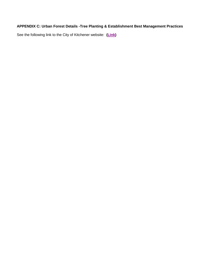#### **APPENDIX C: Urban Forest Details -Tree Planting & Establishment Best Management Practices**

See the following link to the City of Kitchener website: **[\(Link\)](http://kitchener.ca/en/businessinkitchener/Development_manual.asp)**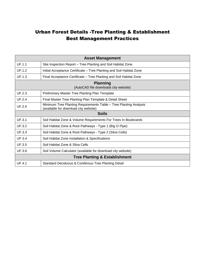## Urban Forest Details -Tree Planting & Establishment Best Management Practices

| <b>Asset Management</b>                                  |                                                                                                            |  |  |  |  |
|----------------------------------------------------------|------------------------------------------------------------------------------------------------------------|--|--|--|--|
| <b>UF.1.1</b>                                            | Site Inspection Report – Tree Planting and Soil Habitat Zone                                               |  |  |  |  |
| UF.1.2                                                   | Initial Acceptance Certificate - Tree Planting and Soil Habitat Zone                                       |  |  |  |  |
| UF.1.3                                                   | Final Acceptance Certificate – Tree Planting and Soil Habitat Zone                                         |  |  |  |  |
| <b>Planning</b><br>(AutoCAD file downloads city website) |                                                                                                            |  |  |  |  |
| UF.2.3                                                   | Preliminary Master Tree Planting Plan Template                                                             |  |  |  |  |
| <b>UF.2.4</b>                                            | Final Master Tree Planting Plan Template & Detail Sheet                                                    |  |  |  |  |
| UF.2.5                                                   | Minimum Tree Planting Requirements Table - Tree Planting Analysis<br>(available for download city website) |  |  |  |  |
| <b>Soils</b>                                             |                                                                                                            |  |  |  |  |
| <b>UF.3.1</b>                                            | Soil Habitat Zone & Volume Requirements For Trees In Boulevards                                            |  |  |  |  |
| <b>UF.3.2</b>                                            | Soil Habitat Zone & Root Pathways - Type 1 (Big O Pipe)                                                    |  |  |  |  |
| UF.3.3                                                   | Soil Habitat Zone & Root Pathways - Type 2 (Silva Cells)                                                   |  |  |  |  |
| <b>UF.3.4</b>                                            | Soil Habitat Zone Installation & Specifications                                                            |  |  |  |  |
| UF.3.5                                                   | Soil Habitat Zone & Silva Cells                                                                            |  |  |  |  |
| <b>UF.3.6</b>                                            | Soil Volume Calculator (available for download city website)                                               |  |  |  |  |
| <b>Tree Planting &amp; Establishment</b>                 |                                                                                                            |  |  |  |  |
| <b>UF.4.1</b>                                            | Standard Deciduous & Coniferous Tree Planting Detail                                                       |  |  |  |  |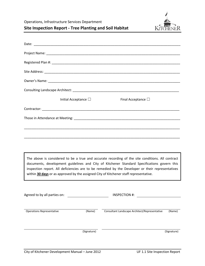Operations, Infrastructure Services Department



**Site Inspection Report ‐ Tree Planting and Soil Habitat**

| Initial Acceptance $\square$                                                          | Final Acceptance $\Box$                                                                                                                                                                                                                                                                             |
|---------------------------------------------------------------------------------------|-----------------------------------------------------------------------------------------------------------------------------------------------------------------------------------------------------------------------------------------------------------------------------------------------------|
|                                                                                       |                                                                                                                                                                                                                                                                                                     |
|                                                                                       |                                                                                                                                                                                                                                                                                                     |
|                                                                                       |                                                                                                                                                                                                                                                                                                     |
|                                                                                       |                                                                                                                                                                                                                                                                                                     |
|                                                                                       |                                                                                                                                                                                                                                                                                                     |
| within 30 days or as approved by the assigned City of Kitchener staff representative. | The above is considered to be a true and accurate recording of the site conditions. All contract<br>documents, development guidelines and City of Kitchener Standard Specifications govern this<br>inspection report. All deficiencies are to be remedied by the Developer or their representatives |
| Agreed to by all parties on:                                                          | <b>INSPECTION #:</b>                                                                                                                                                                                                                                                                                |
| <b>Operations Representative</b><br>(Name)                                            | Consultant Landscape Architect/Representative<br>(Name)                                                                                                                                                                                                                                             |
| (Signature)                                                                           | (Signature)                                                                                                                                                                                                                                                                                         |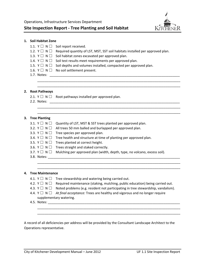

#### **1. Soil Habitat Zone**

|    | 1.1. $Y \square N \square$ | Soil report received.                                                                                         |
|----|----------------------------|---------------------------------------------------------------------------------------------------------------|
|    | 1.2. Y $\sqcup$ N $\sqcup$ | Required quantity of LST, MST, SST soil habitats installed per approved plan.                                 |
|    | 1.3. $Y \square N \square$ | Soil habitat zones excavated per approved plan.                                                               |
|    | 1.4. $Y \square N \square$ | Soil test results meet requirements per approved plan.                                                        |
|    | 1.5. $Y \square N \square$ | Soil depths and volumes installed, compacted per approved plan.                                               |
|    |                            | 1.6. $Y \square N \square$ No soil settlement present.                                                        |
|    | 1.7. Notes:                |                                                                                                               |
|    |                            |                                                                                                               |
|    |                            |                                                                                                               |
| 2. | <b>Root Pathways</b>       |                                                                                                               |
|    |                            | 2.1. $Y \square N \square$ Root pathways installed per approved plan.                                         |
|    | 2.2. Notes:                |                                                                                                               |
|    |                            |                                                                                                               |
| З. | <b>Tree Planting</b>       |                                                                                                               |
|    | 3.1. $Y \square N \square$ | Quantity of LST, MST & SST trees planted per approved plan.                                                   |
|    | 3.2. $Y \square N \square$ | All trees 50 mm balled and burlapped per approved plan.                                                       |
|    | 3.3. $Y \square N \square$ | Tree species per approved plan.                                                                               |
|    | 3.4. $Y \square N \square$ | Tree health and structure at time of planting per approved plan.                                              |
|    | 3.5. $Y \square N \square$ | Trees planted at correct height.                                                                              |
|    | 3.6. $Y \square N \square$ | Trees straight and staked correctly.                                                                          |
|    | 3.7. $Y \square N \square$ | Mulching per approved plan (width, depth, type, no volcano, excess soil).                                     |
|    |                            | 3.8. Notes: 2008 2014 2022 2023 2024 2022 2022 2023 2024 2022 2023 2024 2022 2023 2024 2022 2023 2024 2022 20 |
| 4. | <b>Tree Maintenance</b>    |                                                                                                               |
|    |                            | 4.1. $Y \square N \square$ Tree stewardship and watering being carried out.                                   |
|    | 4.2. $Y \square N \square$ | Required maintenance (staking, mulching, public education) being carried out.                                 |
|    | 4.3. $Y \square N \square$ | Noted problems (e.g. resident not participating in tree stewardship, vandalism).                              |
|    | 4.4. $Y \square N \square$ | At final acceptance: Trees are healthy and vigorous and no longer require                                     |
|    |                            | supplementary watering.                                                                                       |
|    |                            |                                                                                                               |

A record of all deficiencies per address will be provided by the Consultant Landscape Architect to the Operations representative.

\_\_\_\_\_\_\_\_\_\_\_\_\_\_\_\_\_\_\_\_\_\_\_\_\_\_\_\_\_\_\_\_\_\_\_\_\_\_\_\_\_\_\_\_\_\_\_\_\_\_\_\_\_\_\_\_\_\_\_\_\_\_\_\_\_\_\_\_\_\_\_\_\_\_\_\_\_\_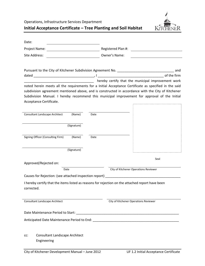Operations, Infrastructure Services Department



**Initial Acceptance Certificate – Tree Planting and Soil Habitat**

| Date:                                                                                                          |                                                                                                                                                                                                                                                                                                                                                    |
|----------------------------------------------------------------------------------------------------------------|----------------------------------------------------------------------------------------------------------------------------------------------------------------------------------------------------------------------------------------------------------------------------------------------------------------------------------------------------|
| Project Name:                                                                                                  | Registered Plan #:                                                                                                                                                                                                                                                                                                                                 |
| Site Address:                                                                                                  | Owner's Name:                                                                                                                                                                                                                                                                                                                                      |
| Acceptance Certificate.                                                                                        | and the municipal improvement work<br>noted herein meets all the requirements for a Initial Acceptance Certificate as specified in the said<br>subdivision agreement mentioned above, and is constructed in accordance with the City of Kitchener<br>Subdivision Manual. I hereby recommend this municipal improvement for approval of the Initial |
| <b>Consultant Landscape Architect</b><br>(Name)<br>Date                                                        |                                                                                                                                                                                                                                                                                                                                                    |
|                                                                                                                |                                                                                                                                                                                                                                                                                                                                                    |
| (Signature)                                                                                                    |                                                                                                                                                                                                                                                                                                                                                    |
| Signing Officer (Consulting Firm)<br>(Name)<br>Date                                                            |                                                                                                                                                                                                                                                                                                                                                    |
| (Signature)                                                                                                    |                                                                                                                                                                                                                                                                                                                                                    |
| Approved/Rejected on:                                                                                          | Seal                                                                                                                                                                                                                                                                                                                                               |
| Date                                                                                                           | City of Kitchener Operations Reviewer                                                                                                                                                                                                                                                                                                              |
|                                                                                                                |                                                                                                                                                                                                                                                                                                                                                    |
| I hereby certify that the items listed as reasons for rejection on the attached report have been<br>corrected. |                                                                                                                                                                                                                                                                                                                                                    |
| Consultant Landscape Architect                                                                                 | City of Kitchener Operations Reviewer                                                                                                                                                                                                                                                                                                              |
| Date Maintenance Period to Start: Lawrence And The Maintenance Period to Start:                                |                                                                                                                                                                                                                                                                                                                                                    |
|                                                                                                                |                                                                                                                                                                                                                                                                                                                                                    |
| Consultant Landscape Architect<br>cc:<br>Engineering                                                           |                                                                                                                                                                                                                                                                                                                                                    |
| City of Kitchener Development Manual - June 2012                                                               | UF 1.2 Initial Acceptance Certificate                                                                                                                                                                                                                                                                                                              |